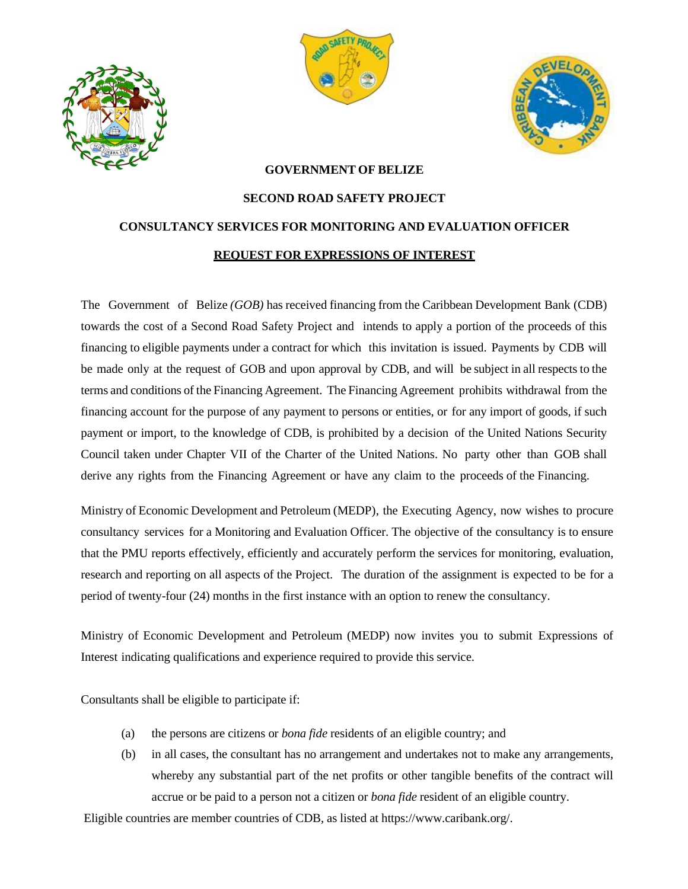





## **GOVERNMENT OF BELIZE**

## **SECOND ROAD SAFETY PROJECT CONSULTANCY SERVICES FOR MONITORING AND EVALUATION OFFICER REQUEST FOR EXPRESSIONS OF INTEREST**

The Government of Belize *(GOB)* has received financing from the Caribbean Development Bank (CDB) towards the cost of a Second Road Safety Project and intends to apply a portion of the proceeds of this financing to eligible payments under a contract for which this invitation is issued. Payments by CDB will be made only at the request of GOB and upon approval by CDB, and will be subject in all respects to the terms and conditions of the Financing Agreement. The Financing Agreement prohibits withdrawal from the financing account for the purpose of any payment to persons or entities, or for any import of goods, if such payment or import, to the knowledge of CDB, is prohibited by a decision of the United Nations Security Council taken under Chapter VII of the Charter of the United Nations. No party other than GOB shall derive any rights from the Financing Agreement or have any claim to the proceeds of the Financing.

Ministry of Economic Development and Petroleum (MEDP), the Executing Agency, now wishes to procure consultancy services for a Monitoring and Evaluation Officer. The objective of the consultancy is to ensure that the PMU reports effectively, efficiently and accurately perform the services for monitoring, evaluation, research and reporting on all aspects of the Project. The duration of the assignment is expected to be for a period of twenty-four (24) months in the first instance with an option to renew the consultancy.

Ministry of Economic Development and Petroleum (MEDP) now invites you to submit Expressions of Interest indicating qualifications and experience required to provide this service.

Consultants shall be eligible to participate if:

- (a) the persons are citizens or *bona fide* residents of an eligible country; and
- (b) in all cases, the consultant has no arrangement and undertakes not to make any arrangements, whereby any substantial part of the net profits or other tangible benefits of the contract will accrue or be paid to a person not a citizen or *bona fide* resident of an eligible country.

Eligible countries are member countries of CDB, as listed at https://www.caribank.org/.